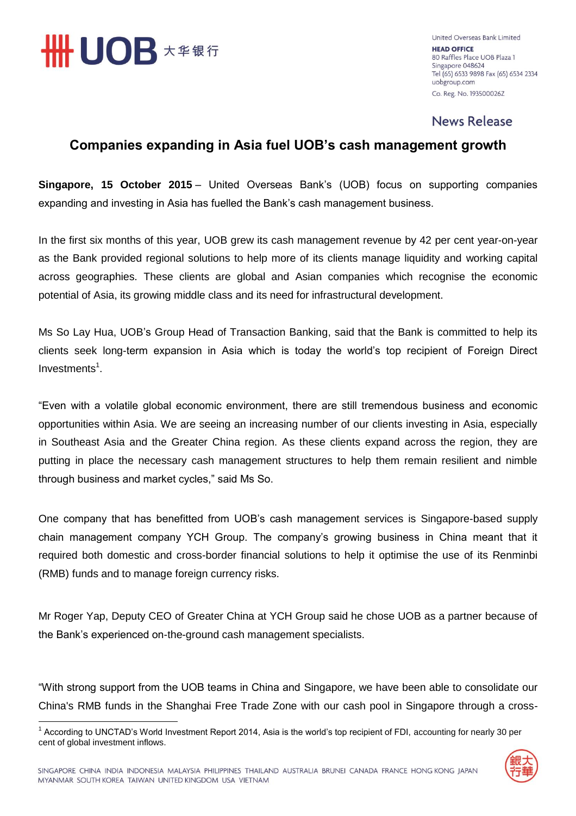

United Overseas Bank Limited **HEAD OFFICE** 80 Raffles Place UOB Plaza 1 Singapore 048624 Tel (65) 6533 9898 Fax (65) 6534 2334 uobgroup.com Co. Reg. No. 193500026Z

## **News Release**

## **Companies expanding in Asia fuel UOB's cash management growth**

**Singapore, 15 October 2015** – United Overseas Bank's (UOB) focus on supporting companies expanding and investing in Asia has fuelled the Bank's cash management business.

In the first six months of this year, UOB grew its cash management revenue by 42 per cent year-on-year as the Bank provided regional solutions to help more of its clients manage liquidity and working capital across geographies. These clients are global and Asian companies which recognise the economic potential of Asia, its growing middle class and its need for infrastructural development.

Ms So Lay Hua, UOB's Group Head of Transaction Banking, said that the Bank is committed to help its clients seek long-term expansion in Asia which is today the world's top recipient of Foreign Direct Investments<sup>1</sup>.

"Even with a volatile global economic environment, there are still tremendous business and economic opportunities within Asia. We are seeing an increasing number of our clients investing in Asia, especially in Southeast Asia and the Greater China region. As these clients expand across the region, they are putting in place the necessary cash management structures to help them remain resilient and nimble through business and market cycles," said Ms So.

One company that has benefitted from UOB's cash management services is Singapore-based supply chain management company YCH Group. The company's growing business in China meant that it required both domestic and cross-border financial solutions to help it optimise the use of its Renminbi (RMB) funds and to manage foreign currency risks.

Mr Roger Yap, Deputy CEO of Greater China at YCH Group said he chose UOB as a partner because of the Bank's experienced on-the-ground cash management specialists.

"With strong support from the UOB teams in China and Singapore, we have been able to consolidate our China's RMB funds in the Shanghai Free Trade Zone with our cash pool in Singapore through a cross-



<sup>&</sup>lt;u>.</u> <sup>1</sup> According to UNCTAD's World Investment Report 2014, Asia is the world's top recipient of FDI, accounting for nearly 30 per cent of global investment inflows.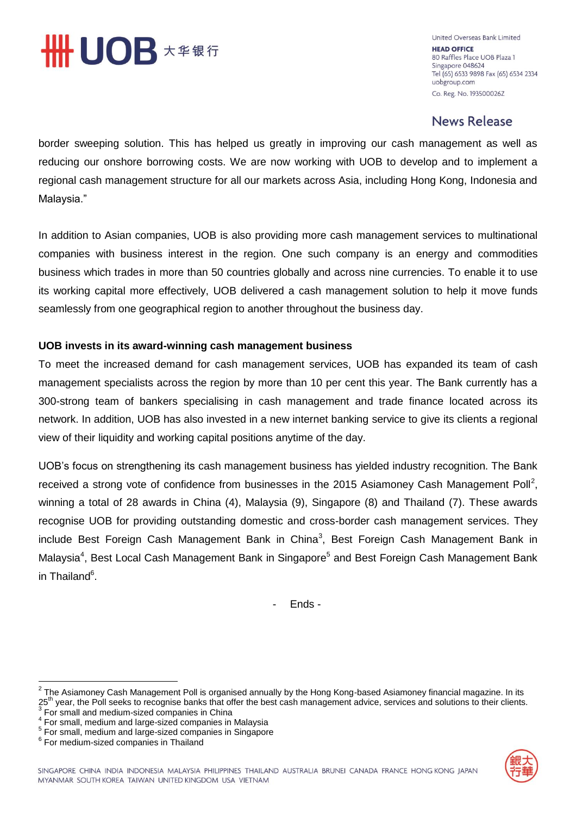

United Overseas Bank Limited **HEAD OFFICE** 80 Raffles Place UOB Plaza 1 Singapore 048624 Tel (65) 6533 9898 Fax (65) 6534 2334 uobgroup.com Co. Reg. No. 193500026Z

## **News Release**

border sweeping solution. This has helped us greatly in improving our cash management as well as reducing our onshore borrowing costs. We are now working with UOB to develop and to implement a regional cash management structure for all our markets across Asia, including Hong Kong, Indonesia and Malaysia."

In addition to Asian companies, UOB is also providing more cash management services to multinational companies with business interest in the region. One such company is an energy and commodities business which trades in more than 50 countries globally and across nine currencies. To enable it to use its working capital more effectively, UOB delivered a cash management solution to help it move funds seamlessly from one geographical region to another throughout the business day.

### **UOB invests in its award-winning cash management business**

To meet the increased demand for cash management services, UOB has expanded its team of cash management specialists across the region by more than 10 per cent this year. The Bank currently has a 300-strong team of bankers specialising in cash management and trade finance located across its network. In addition, UOB has also invested in a new internet banking service to give its clients a regional view of their liquidity and working capital positions anytime of the day.

UOB's focus on strengthening its cash management business has yielded industry recognition. The Bank received a strong vote of confidence from businesses in the 2015 Asiamoney Cash Management Poll<sup>2</sup>, winning a total of 28 awards in China (4), Malaysia (9), Singapore (8) and Thailand (7). These awards recognise UOB for providing outstanding domestic and cross-border cash management services. They include Best Foreign Cash Management Bank in China<sup>3</sup>, Best Foreign Cash Management Bank in Malaysia<sup>4</sup>, Best Local Cash Management Bank in Singapore<sup>5</sup> and Best Foreign Cash Management Bank in Thailand<sup>6</sup>.

- Ends -



 $\frac{1}{2}$ The Asiamoney Cash Management Poll is organised annually by the Hong Kong-based Asiamoney financial magazine. In its 25<sup>th</sup> year, the Poll seeks to recognise banks that offer the best cash management advice, services and solutions to their clients.<br><sup>3</sup> Fer amell and medium sized companies in China.

For small and medium-sized companies in China

<sup>4</sup> For small, medium and large-sized companies in Malaysia

<sup>&</sup>lt;sup>5</sup> For small, medium and large-sized companies in Singapore

<sup>6</sup> For medium-sized companies in Thailand